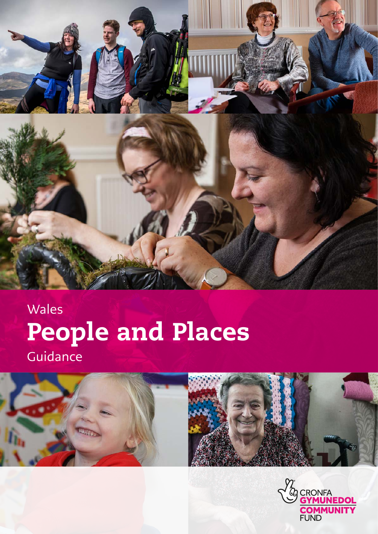

# People and Places Wales Guidance





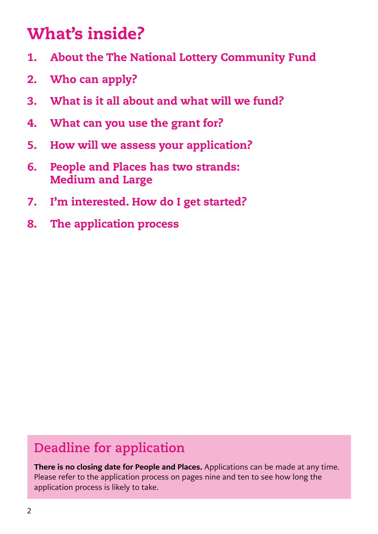### What's inside?

- 1. About the The National Lottery Community Fund
- 2. Who can apply?
- 3. What is it all about and what will we fund?
- 4. What can you use the grant for?
- 5. How will we assess your application?
- 6. People and Places has two strands: Medium and Large
- 7. I'm interested. How do I get started?
- 8. The application process

### **Deadline for application**

There is no closing date for People and Places. Applications can be made at any time. Please refer to the application process on pages nine and ten to see how long the application process is likely to take.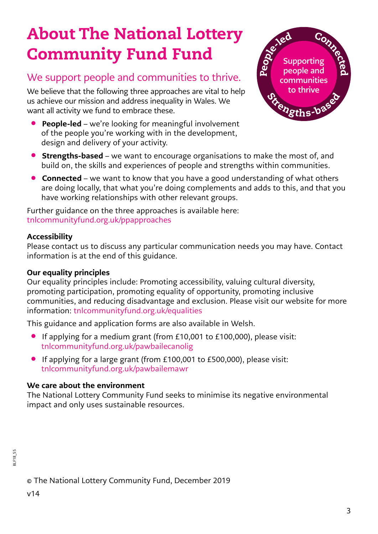### About The National Lottery Community Fund Fund

### We support people and communities to thrive.

We believe that the following three approaches are vital to help us achieve our mission and address inequality in Wales. We want all activity we fund to embrace these.

• People-led – we're looking for meaningful involvement of the people you're working with in the development, design and delivery of your activity.



- **Strengths-based** we want to encourage organisations to make the most of, and build on, the skills and experiences of people and strengths within communities.
- Connected we want to know that you have a good understanding of what others are doing locally, that what you're doing complements and adds to this, and that you have working relationships with other relevant groups.

Further guidance on the three approaches is available here: [tnlcommunityfund.org.uk/ppapproaches](http://www.tnlcommunityfund.org.uk/ppapproaches  ) 

#### Accessibility

Please contact us to discuss any particular communication needs you may have. Contact information is at the end of this guidance.

#### Our equality principles

Our equality principles include: Promoting accessibility, valuing cultural diversity, promoting participation, promoting equality of opportunity, promoting inclusive communities, and reducing disadvantage and exclusion. Please visit our website for more information: [tnlcommunityfund.org.uk/equalities](http://www.tnlcommunityfund.org.uk/equalities  ) 

This guidance and application forms are also available in Welsh.

- If applying for a medium grant (from £10,001 to £100,000), please visit: [tnlcommunityfund.org.uk/pawbailecanolig](http://www.tnlcommunityfund.org.uk/pawbailecanolig)
- If applying for a large grant (from £100,001 to £500,000), please visit: [tnlcommunityfund.org.uk/pawbailemawr](http://www.tnlcommunityfund.org.uk/pawbailemawr)

#### We care about the environment

The National Lottery Community Fund seeks to minimise its negative environmental impact and only uses sustainable resources.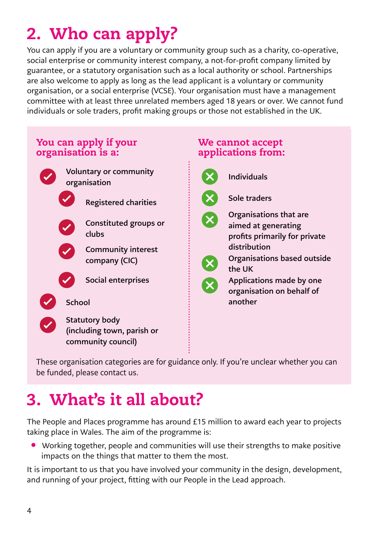# 2. Who can apply?

You can apply if you are a voluntary or community group such as a charity, co-operative, social enterprise or community interest company, a not-for-profit company limited by guarantee, or a statutory organisation such as a local authority or school. Partnerships are also welcome to apply as long as the lead applicant is a voluntary or community organisation, or a social enterprise (VCSE). Your organisation must have a management committee with at least three unrelated members aged 18 years or over. We cannot fund individuals or sole traders, profit making groups or those not established in the UK.



These organisation categories are for guidance only. If you're unclear whether you can be funded, please contact us.

### 3. What's it all about?

The People and Places programme has around £15 million to award each year to projects taking place in Wales. The aim of the programme is:

• Working together, people and communities will use their strengths to make positive impacts on the things that matter to them the most.

It is important to us that you have involved your community in the design, development, and running of your project, fitting with our People in the Lead approach.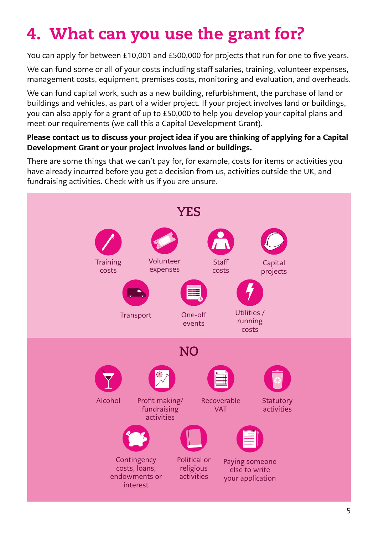# 4. What can you use the grant for?

You can apply for between £10,001 and £500,000 for projects that run for one to five years.

We can fund some or all of your costs including staff salaries, training, volunteer expenses, management costs, equipment, premises costs, monitoring and evaluation, and overheads.

We can fund capital work, such as a new building, refurbishment, the purchase of land or buildings and vehicles, as part of a wider project. If your project involves land or buildings, you can also apply for a grant of up to £50,000 to help you develop your capital plans and meet our requirements (we call this a Capital Development Grant).

#### Please contact us to discuss your project idea if you are thinking of applying for a Capital Development Grant or your project involves land or buildings.

There are some things that we can't pay for, for example, costs for items or activities you have already incurred before you get a decision from us, activities outside the UK, and fundraising activities. Check with us if you are unsure.

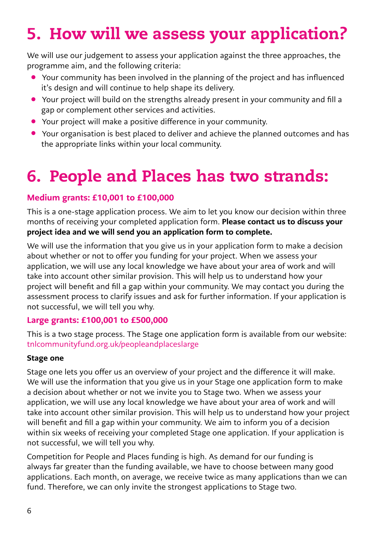## 5. How will we assess your application?

We will use our judgement to assess your application against the three approaches, the programme aim, and the following criteria:

- Your community has been involved in the planning of the project and has influenced it's design and will continue to help shape its delivery.
- Your project will build on the strengths already present in your community and fill a gap or complement other services and activities.
- Your project will make a positive difference in your community.
- Your organisation is best placed to deliver and achieve the planned outcomes and has the appropriate links within your local community.

### 6. People and Places has two strands:

#### Medium grants: £10,001 to £100,000

This is a one-stage application process. We aim to let you know our decision within three months of receiving your completed application form. Please contact us to discuss your project idea and we will send you an application form to complete.

We will use the information that you give us in your application form to make a decision about whether or not to offer you funding for your project. When we assess your application, we will use any local knowledge we have about your area of work and will take into account other similar provision. This will help us to understand how your project will benefit and fill a gap within your community. We may contact you during the assessment process to clarify issues and ask for further information. If your application is not successful, we will tell you why.

#### Large grants: £100,001 to £500,000

This is a two stage process. The Stage one application form is available from our website: tnlcommunityfund.org.uk/peopleandplaceslarge

#### Stage one

Stage one lets you offer us an overview of your project and the difference it will make. We will use the information that you give us in your Stage one application form to make a decision about whether or not we invite you to Stage two. When we assess your application, we will use any local knowledge we have about your area of work and will take into account other similar provision. This will help us to understand how your project will benefit and fill a gap within your community. We aim to inform you of a decision within six weeks of receiving your completed Stage one application. If your application is not successful, we will tell you why.

Competition for People and Places funding is high. As demand for our funding is always far greater than the funding available, we have to choose between many good applications. Each month, on average, we receive twice as many applications than we can fund. Therefore, we can only invite the strongest applications to Stage two.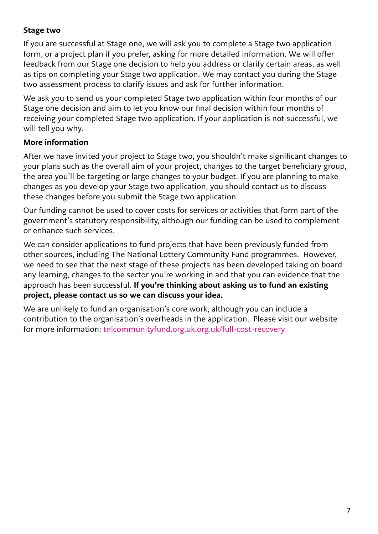#### Stage two

If you are successful at Stage one, we will ask you to complete a Stage two application form, or a project plan if you prefer, asking for more detailed information. We will offer feedback from our Stage one decision to help you address or clarify certain areas, as well as tips on completing your Stage two application. We may contact you during the Stage two assessment process to clarify issues and ask for further information.

We ask you to send us your completed Stage two application within four months of our Stage one decision and aim to let you know our final decision within four months of receiving your completed Stage two application. If your application is not successful, we will tell you why.

#### More information

After we have invited your project to Stage two, you shouldn't make significant changes to your plans such as the overall aim of your project, changes to the target beneficiary group, the area you'll be targeting or large changes to your budget. If you are planning to make changes as you develop your Stage two application, you should contact us to discuss these changes before you submit the Stage two application.

Our funding cannot be used to cover costs for services or activities that form part of the government's statutory responsibility, although our funding can be used to complement or enhance such services.

We can consider applications to fund projects that have been previously funded from other sources, including The National Lottery Community Fund programmes. However, we need to see that the next stage of these projects has been developed taking on board any learning, changes to the sector you're working in and that you can evidence that the approach has been successful. If you're thinking about asking us to fund an existing project, please contact us so we can discuss your idea.

We are unlikely to fund an organisation's core work, although you can include a contribution to the organisation's overheads in the application. Please visit our website for more information: tnlcommunityfund.org.uk.org.uk/full-cost-recovery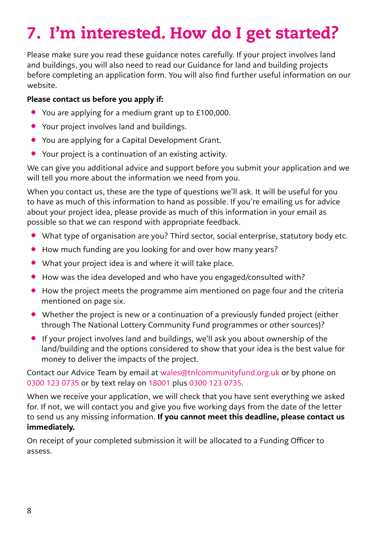# 7. I'm interested. How do I get started?

Please make sure you read these guidance notes carefully. If your project involves land and buildings, you will also need to read our Guidance for land and building projects before completing an application form. You will also find further useful information on our website.

#### Please contact us before you apply if:

- You are applying for a medium grant up to £100,000.
- Your project involves land and buildings.
- You are applying for a Capital Development Grant.
- Your project is a continuation of an existing activity.

We can give you additional advice and support before you submit your application and we will tell you more about the information we need from you.

When you contact us, these are the type of questions we'll ask. It will be useful for you to have as much of this information to hand as possible. If you're emailing us for advice about your project idea, please provide as much of this information in your email as possible so that we can respond with appropriate feedback.

- What type of organisation are you? Third sector, social enterprise, statutory body etc.
- How much funding are you looking for and over how many years?
- What your project idea is and where it will take place.
- How was the idea developed and who have you engaged/consulted with?
- How the project meets the programme aim mentioned on page four and the criteria mentioned on page six.
- Whether the project is new or a continuation of a previously funded project (either through The National Lottery Community Fund programmes or other sources)?
- If your project involves land and buildings, we'll ask you about ownership of the land/building and the options considered to show that your idea is the best value for money to deliver the impacts of the project.

Contact our Advice Team by email at [wales@tnlcommunityfund.org.uk](mailto:wales%40tnlcommunityfund.org.uk?subject=) or by phone on 0300 123 0735 or by text relay on 18001 plus 0300 123 0735.

When we receive your application, we will check that you have sent everything we asked for. If not, we will contact you and give you five working days from the date of the letter to send us any missing information. If you cannot meet this deadline, please contact us immediately.

On receipt of your completed submission it will be allocated to a Funding Officer to assess.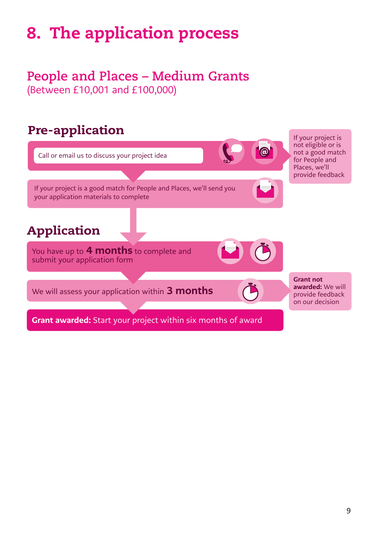### 8. The application process

### **People and Places – Medium Grants** (Between £10,001 and £100,000)